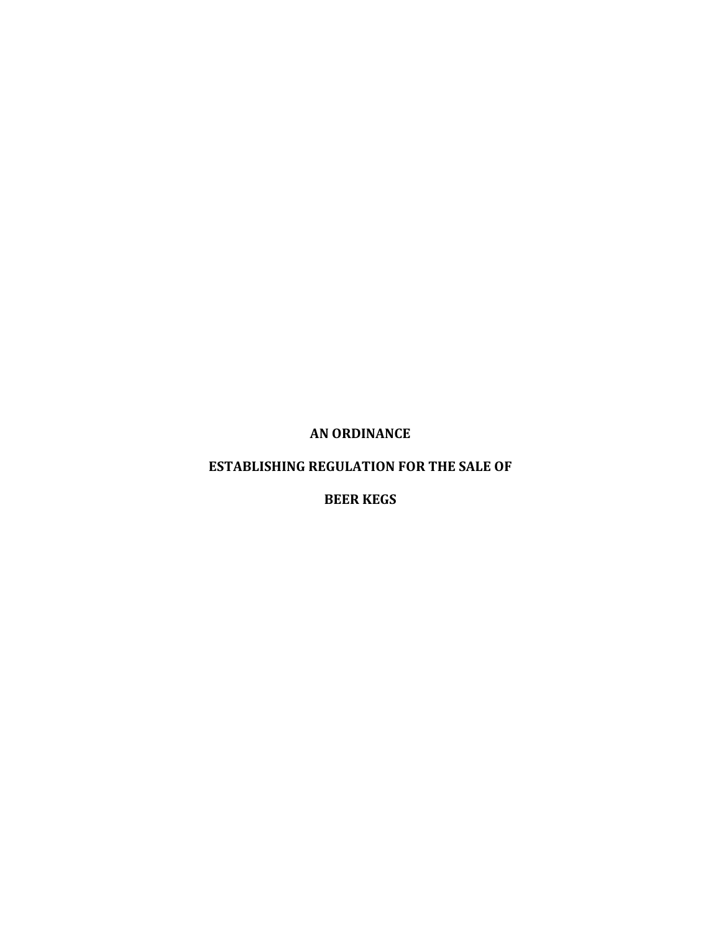**AN ORDINANCE**

# **ESTABLISHING REGULATION FOR THE SALE OF**

**BEER KEGS**